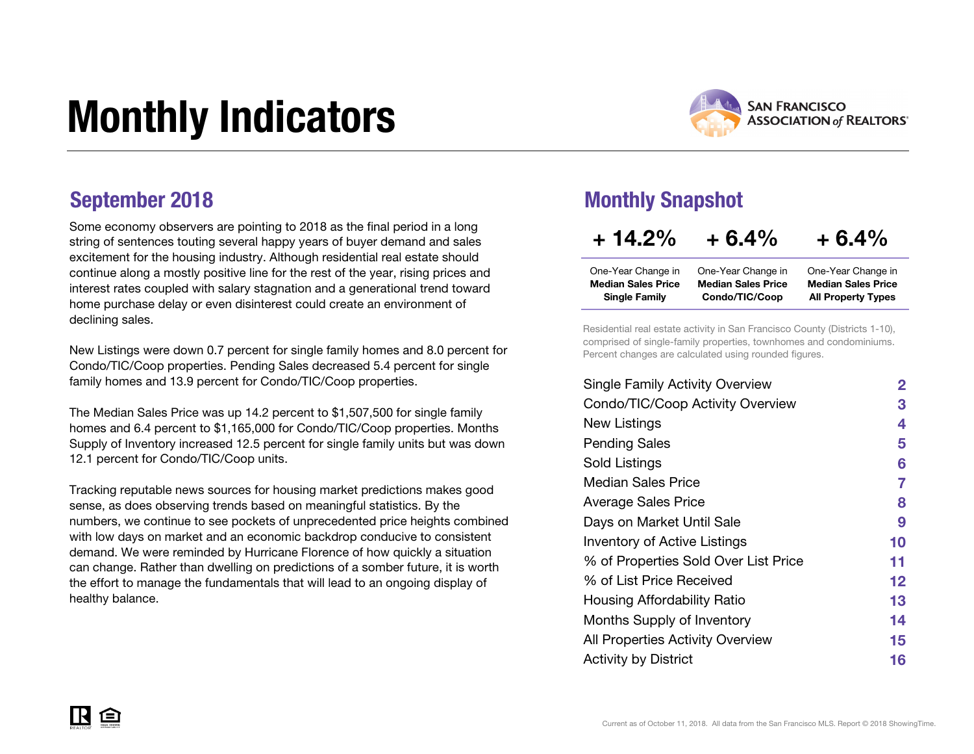# Monthly Indicators



All Property Types

Some economy observers are pointing to 2018 as the final period in a long string of sentences touting several happy years of buyer demand and sales excitement for the housing industry. Although residential real estate should continue along a mostly positive line for the rest of the year, rising prices and interest rates coupled with salary stagnation and a generational trend toward home purchase delay or even disinterest could create an environment of declining sales.

New Listings were down 0.7 percent for single family homes and 8.0 percent for Condo/TIC/Coop properties. Pending Sales decreased 5.4 percent for single family homes and 13.9 percent for Condo/TIC/Coop properties.

The Median Sales Price was up 14.2 percent to \$1,507,500 for single family homes and 6.4 percent to \$1,165,000 for Condo/TIC/Coop properties. Months Supply of Inventory increased 12.5 percent for single family units but was down 12.1 percent for Condo/TIC/Coop units.

Tracking reputable news sources for housing market predictions makes good sense, as does observing trends based on meaningful statistics. By the numbers, we continue to see pockets of unprecedented price heights combined with low days on market and an economic backdrop conducive to consistent demand. We were reminded by Hurricane Florence of how quickly a situation can change. Rather than dwelling on predictions of a somber future, it is worth the effort to manage the fundamentals that will lead to an ongoing display of healthy balance.

### September 2018 Monthly Snapshot

Single Family

| $+14.2\%$                 | $+6.4%$                   | $+6.4%$                   |
|---------------------------|---------------------------|---------------------------|
| One-Year Change in        | One-Year Change in        | One-Year Change in        |
| <b>Median Sales Price</b> | <b>Median Sales Price</b> | <b>Median Sales Price</b> |

Condo/TIC/Coop

Residential real estate activity in San Francisco County (Districts 1-10), comprised of single-family properties, townhomes and condominiums. Percent changes are calculated using rounded figures.

| <b>Single Family Activity Overview</b> | $\mathbf{2}$ |
|----------------------------------------|--------------|
| Condo/TIC/Coop Activity Overview       | 3            |
| New Listings                           | 4            |
| <b>Pending Sales</b>                   | 5            |
| Sold Listings                          | 6            |
| Median Sales Price                     | 7            |
| <b>Average Sales Price</b>             | 8            |
| Days on Market Until Sale              | 9            |
| <b>Inventory of Active Listings</b>    | 10           |
| % of Properties Sold Over List Price   | 11           |
| % of List Price Received               | 12           |
| Housing Affordability Ratio            | 13           |
| Months Supply of Inventory             | 14           |
| All Properties Activity Overview       | 15           |
| <b>Activity by District</b>            | 16           |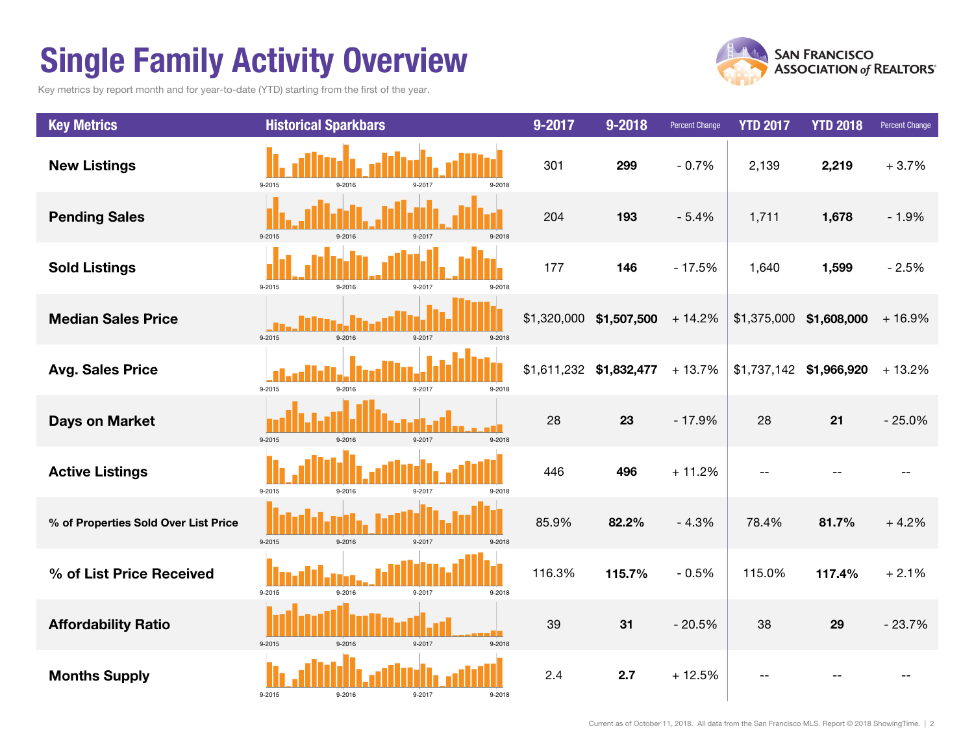# Single Family Activity Overview

Key metrics by report month and for year-to-date (YTD) starting from the first of the year.



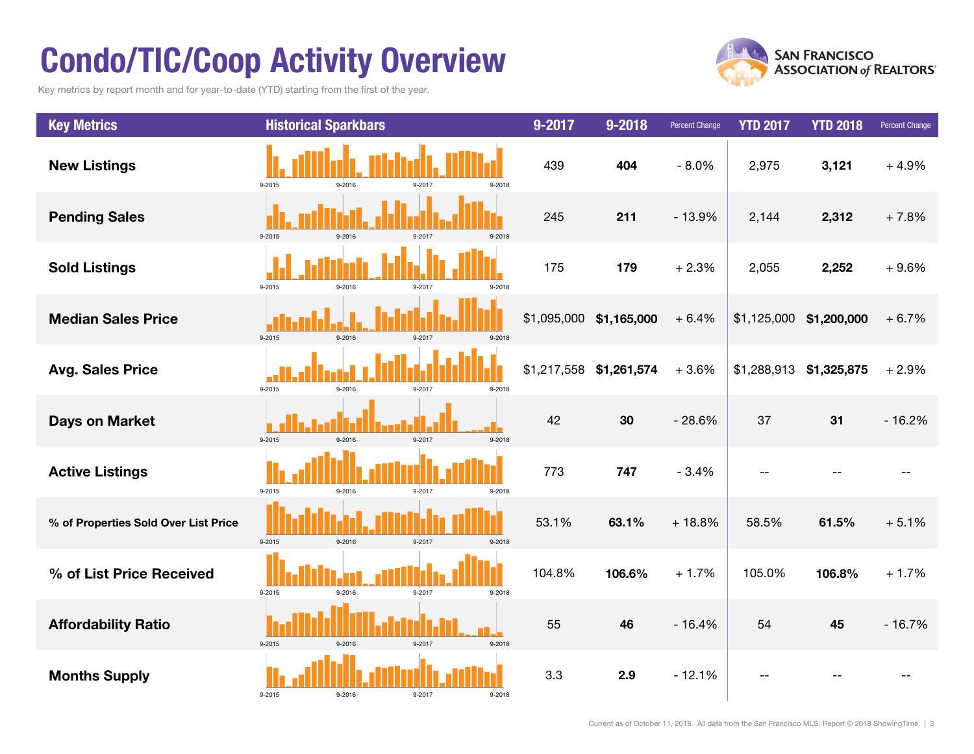# Condo/TIC/Coop Activity Overview

Key metrics by report month and for year-to-date (YTD) starting from the first of the year.



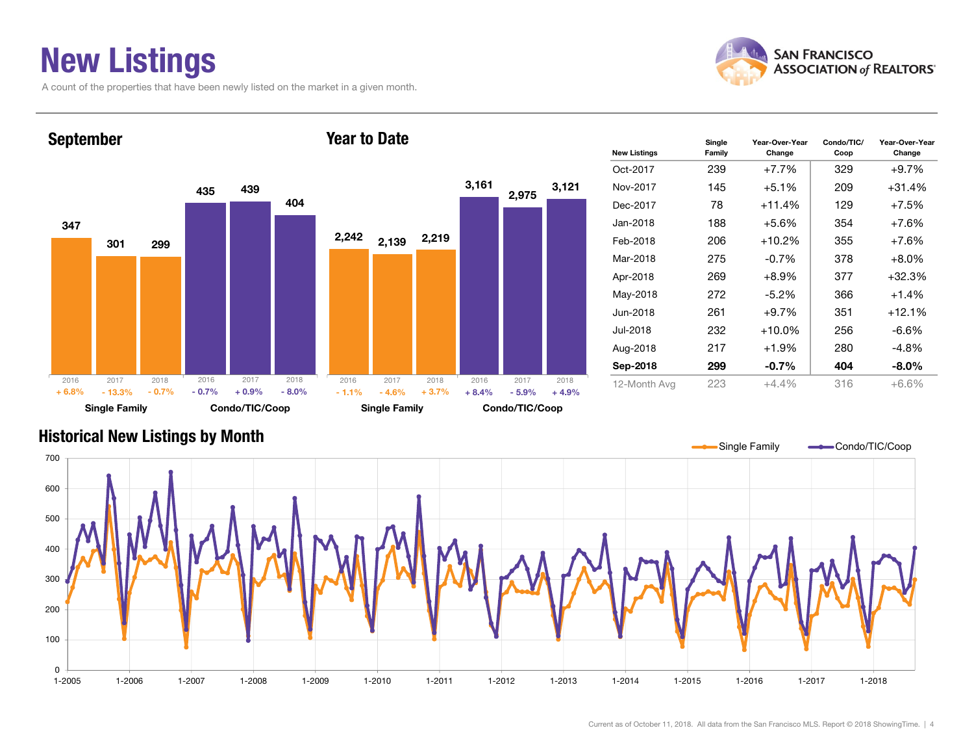### New Listings

A count of the properties that have been newly listed on the market in a given month.



Coop

Year-Over-Year Change



### Historical New Listings by Month



#### Current as of October 11, 2018. All data from the San Francisco MLS. Report © 2018 ShowingTime. | 4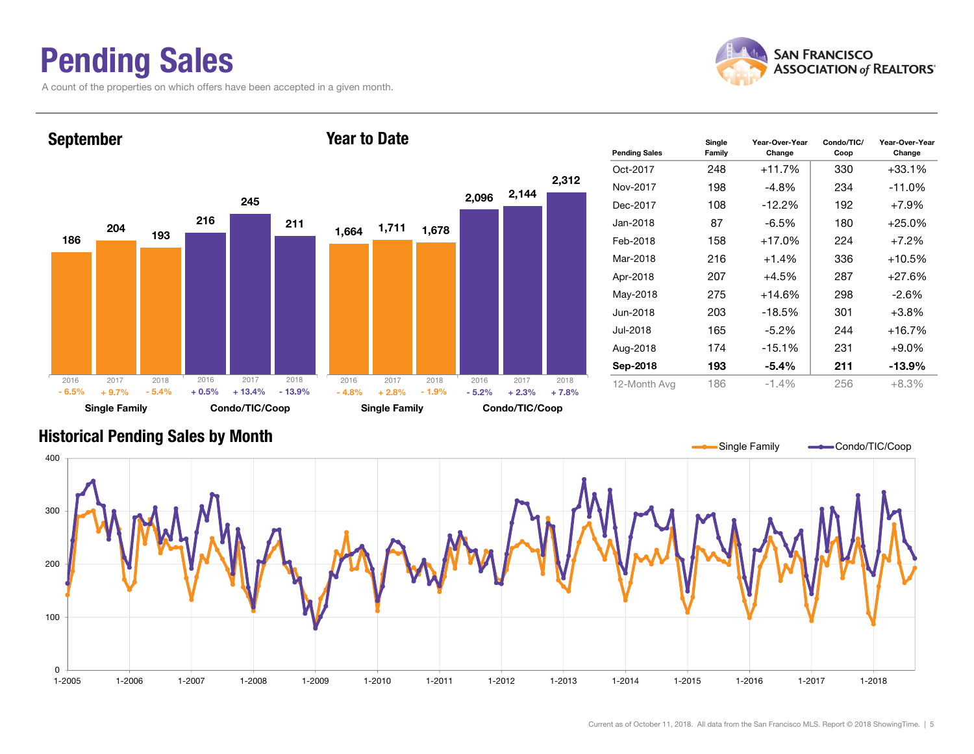### Pending Sales

A count of the properties on which offers have been accepted in a given month.



Change



#### Historical Pending Sales by Month

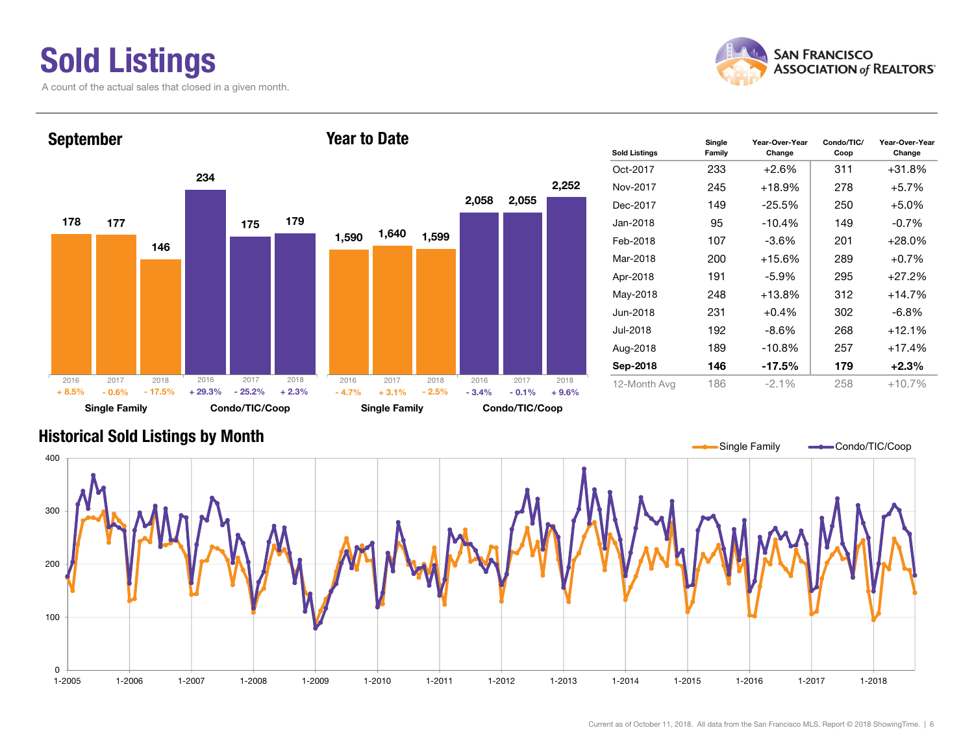# Sold Listings

A count of the actual sales that closed in a given month.



#### 178 234177 175146179Single Family Condo/TIC/Coop September 1,590 2,058 2,055 1,640 1,599 2,252 Single Family Condo/TIC/Coop Year to Date20162017 2018 - 0.6% $\%$  - 17.5% + 29.3% - 25.2% + 2.3% - 4.7% + 3.1% - 2.5% - 3.4% - 0.1%  $-0.1\% + 9.6\%$ 2016 2017 2018 2016 2017 2018 2016 2017 2018 + 8.5% $-17.5\%$   $+ 29.3\%$   $- 25.2\%$   $+ 2.3\%$   $- 4.7\%$  $+3.1\%$   $-2.5\%$   $-3.4\%$

| <b>Sold Listings</b> | Single<br>Family | Condo/TIC/<br>Year-Over-Year<br>Change<br>Coop |     | Year-Over-Year<br>Change |
|----------------------|------------------|------------------------------------------------|-----|--------------------------|
| Oct-2017             | 233              | $+2.6%$                                        | 311 | +31.8%                   |
| Nov-2017             | 245              | $+18.9%$                                       | 278 | $+5.7%$                  |
| Dec-2017             | 149              | $-25.5%$                                       | 250 | $+5.0%$                  |
| Jan-2018             | 95               | $-10.4%$                                       | 149 | $-0.7\%$                 |
| Feb-2018             | 107              | $-3.6\%$                                       | 201 | $+28.0\%$                |
| Mar-2018             | 200              | $+15.6%$                                       | 289 | $+0.7%$                  |
| Apr-2018             | 191              | $-5.9\%$                                       | 295 | $+27.2%$                 |
| May-2018             | 248              | $+13.8%$                                       | 312 | +14.7%                   |
| Jun-2018             | 231              | $+0.4\%$                                       | 302 | -6.8%                    |
| Jul-2018             | 192              | -8.6%                                          | 268 | $+12.1%$                 |
| Aug-2018             | 189              | $-10.8%$                                       | 257 | $+17.4%$                 |
| Sep-2018             | 146              | $-17.5%$                                       | 179 | $+2.3%$                  |
| 12-Month Avg         | 186              | $-2.1%$                                        | 258 | $+10.7%$                 |

#### Historical Sold Listings by Month

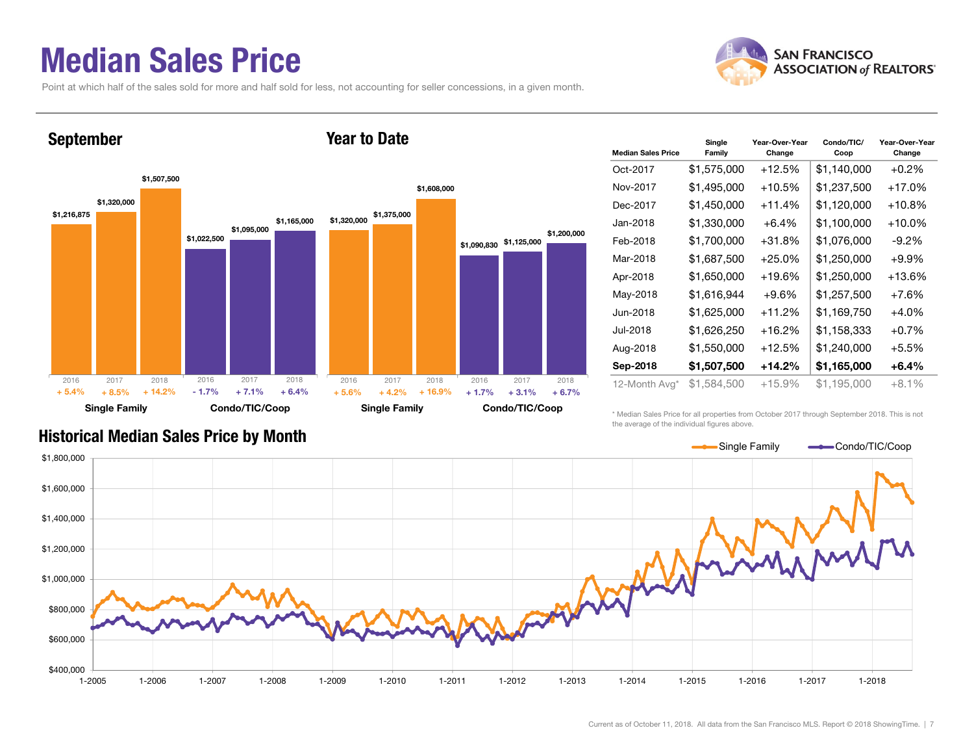### Median Sales Price

September

Point at which half of the sales sold for more and half sold for less, not accounting for seller concessions, in a given month.

Year to Date



#### \$1,216,875 \$1,022,500 \$1,320,000 \$1,095,000 \$1,507,500 \$1,165,000 Single Family Condo/TIC/Coop \$1,320,000 \$1,090,830 \$1,125,000 \$1,375,000 \$1,608,000 \$1,200,000 Single Family Condo/TIC/Coop 2016 2017 2018+ 8.5% $\%$  + 14.2% - 1.7% + 7.1% + 6.4% + 5.6% + 4.2% + 16.9% + 1.7% + 3.1%  $+3.1\% + 6.7\%$ 2016 2017 2018 2016 2017 2018 2016 2017 2018 + 5.4% $+ 14.2\%$  - 1.7% + 7.1% + 6.4% + 5.6%  $+4.2\%$   $+16.9\%$   $+1.7\%$

| <b>Median Sales Price</b> | Single<br>Family | Year-Over-Year<br>Change | Condo/TIC/<br>Coop | Year-Over-Year<br>Change |  |  |
|---------------------------|------------------|--------------------------|--------------------|--------------------------|--|--|
| Oct-2017                  | \$1,575,000      | $+12.5%$                 | \$1,140,000        | $+0.2%$                  |  |  |
| Nov-2017                  | \$1,495,000      | +10.5%                   | \$1,237,500        | $+17.0%$                 |  |  |
| Dec-2017                  | \$1,450,000      | $+11.4%$                 | \$1,120,000        | $+10.8%$                 |  |  |
| Jan-2018                  | \$1,330,000      | $+6.4%$                  | \$1,100,000        | $+10.0\%$                |  |  |
| Feb-2018                  | \$1,700,000      | $+31.8%$                 | \$1,076,000        | $-9.2\%$                 |  |  |
| Mar-2018                  | \$1,687,500      | $+25.0%$                 | \$1,250,000        | $+9.9%$                  |  |  |
| Apr-2018                  | \$1,650,000      | $+19.6%$                 | \$1,250,000        | $+13.6%$                 |  |  |
| May-2018                  | \$1,616,944      | $+9.6%$                  | \$1,257,500        | $+7.6%$                  |  |  |
| Jun-2018                  | \$1,625,000      | $+11.2%$                 | \$1,169,750        | $+4.0%$                  |  |  |
| Jul-2018                  | \$1,626,250      | $+16.2%$                 | \$1,158,333        | $+0.7%$                  |  |  |
| Aug-2018                  | \$1,550,000      | +12.5%                   | \$1,240,000        | +5.5%                    |  |  |
| Sep-2018                  | \$1,507,500      | $+14.2%$                 | \$1,165,000        | $+6.4\%$                 |  |  |
| 12-Month Avg*             | \$1,584,500      | +15.9%                   | \$1,195,000        | $+8.1%$                  |  |  |

\* Median Sales Price for all properties from October 2017 through September 2018. This is not the average of the individual figures above.



#### Historical Median Sales Price by Month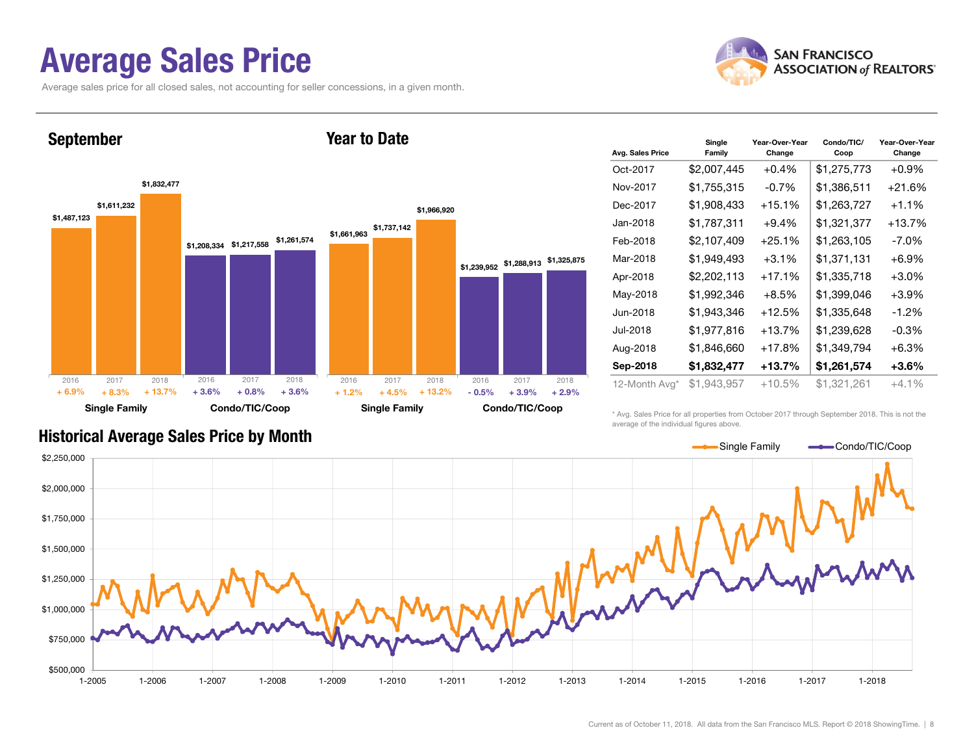### Average Sales Price

September

Average sales price for all closed sales, not accounting for seller concessions, in a given month.



\$1,487,123 \$1,208,334 \$1,217,558 \$1,261,574 \$1,611,232 \$1,832,477 Single Family Condo/TIC/Coop \$1,661,963 \$1,737,142 \$1,239,952 \$1,288,913 \$1,325,875 \$1,966,920 Single Family Condo/TIC/Coop 2016 2017 2018+ 8.3% $\%$  + 13.7% + 3.6% + 0.8% + 3.6% + 1.2% + 4.5% + 13.2% - 0.5% + 3.9%  $+3.9\%$   $+2.9\%$ 2016 2017 2018 2016 2017 2018 2016 2017 2018 + 6.9% $+ 13.7\%$   $+ 3.6\%$   $+ 0.8\%$   $+ 3.6\%$   $+ 1.2\%$  $+4.5\%$   $+13.2\%$   $-0.5\%$ 

Year to Date

| Avg. Sales Price | Single<br>Family | Year-Over-Year<br>Change | Condo/TIC/<br>Coop | Year-Over-Year<br>Change |
|------------------|------------------|--------------------------|--------------------|--------------------------|
| Oct-2017         | \$2,007,445      | $+0.4%$                  | \$1,275,773        | $+0.9%$                  |
| Nov-2017         | \$1,755,315      | -0.7%                    | \$1,386,511        | +21.6%                   |
| Dec-2017         | \$1,908,433      | $+15.1%$                 | \$1,263,727        | $+1.1%$                  |
| Jan-2018         | \$1,787,311      | $+9.4%$                  | \$1,321,377        | +13.7%                   |
| Feb-2018         | \$2,107,409      | $+25.1%$                 | \$1,263,105        | $-7.0\%$                 |
| Mar-2018         | \$1,949,493      | $+3.1%$                  | \$1,371,131        | $+6.9\%$                 |
| Apr-2018         | \$2,202,113      | $+17.1%$                 | \$1,335,718        | $+3.0\%$                 |
| May-2018         | \$1,992,346      | $+8.5%$                  | \$1,399,046        | $+3.9\%$                 |
| Jun-2018         | \$1,943,346      | $+12.5%$                 | \$1,335,648        | $-1.2%$                  |
| Jul-2018         | \$1,977,816      | $+13.7%$                 | \$1,239,628        | $-0.3%$                  |
| Aug-2018         | \$1,846,660      | $+17.8%$                 | \$1,349,794        | +6.3%                    |
| Sep-2018         | \$1,832,477      | $+13.7%$                 | \$1,261,574        | +3.6%                    |
| 12-Month Avg*    | \$1,943,957      | +10.5%                   | \$1,321,261        | +4.1%                    |

\* Avg. Sales Price for all properties from October 2017 through September 2018. This is not the average of the individual figures above.



### Historical Average Sales Price by Month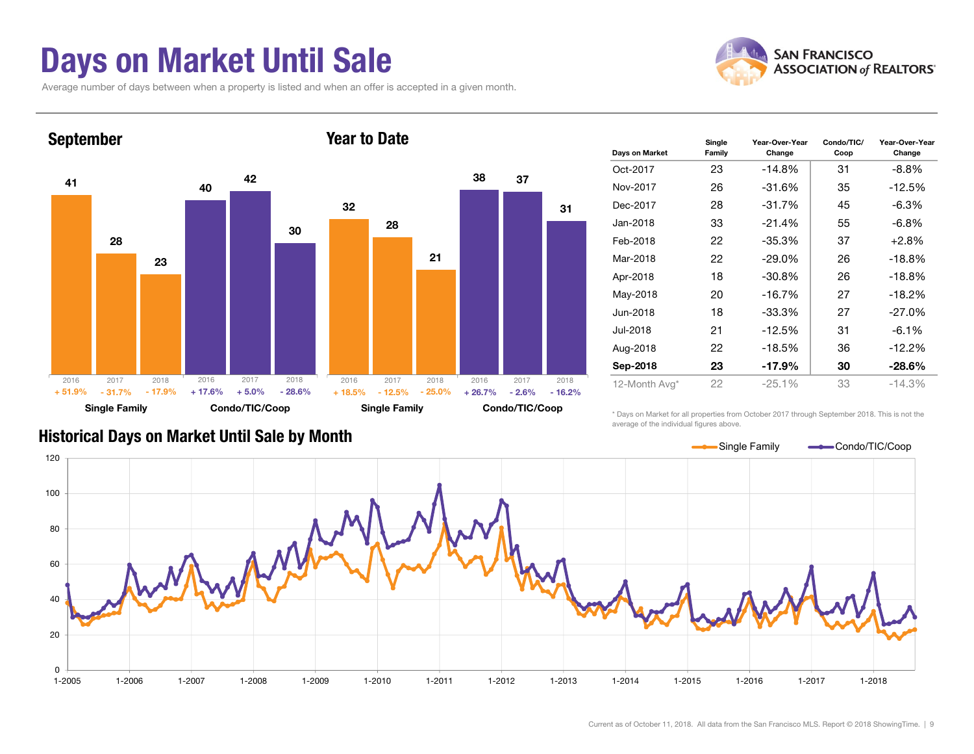### Days on Market Until Sale

Average number of days between when a property is listed and when an offer is accepted in a given month.





| Days on Market | Single<br>Family | Year-Over-Year<br>Change | Condo/TIC/<br>Coop | Year-Over-Year<br>Change |
|----------------|------------------|--------------------------|--------------------|--------------------------|
| Oct-2017       | 23               | $-14.8%$                 | 31                 | -8.8%                    |
| Nov-2017       | 26               | $-31.6%$                 | 35                 | $-12.5%$                 |
| Dec-2017       | 28               | $-31.7%$                 | 45                 | $-6.3%$                  |
| Jan-2018       | 33               | $-21.4%$                 | 55                 | $-6.8\%$                 |
| Feb-2018       | 22               | $-35.3%$                 | 37                 | $+2.8%$                  |
| Mar-2018       | 22               | $-29.0\%$                | 26                 | $-18.8%$                 |
| Apr-2018       | 18               | $-30.8%$                 | 26                 | $-18.8%$                 |
| May-2018       | 20               | $-16.7%$                 | 27                 | $-18.2%$                 |
| Jun-2018       | 18               | $-33.3%$                 | 27                 | $-27.0%$                 |
| Jul-2018       | 21               | $-12.5%$                 | 31                 | $-6.1%$                  |
| Aug-2018       | 22               | $-18.5%$                 | 36                 | $-12.2%$                 |
| Sep-2018       | 23               | $-17.9%$                 | 30                 | $-28.6\%$                |
| 12-Month Avg*  | 22               | $-25.1%$                 | 33                 | $-14.3%$                 |

Historical Days on Market Until Sale by Month

\* Days on Market for all properties from October 2017 through September 2018. This is not the average of the individual figures above.

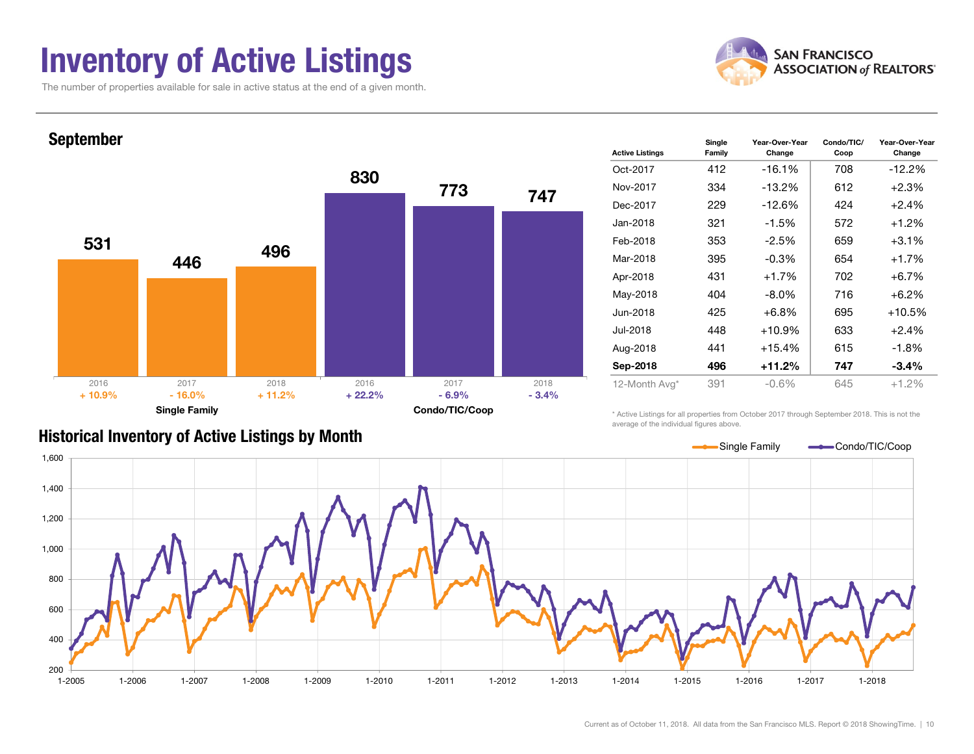### Inventory of Active Listings

The number of properties available for sale in active status at the end of a given month.



Year-Over-Year Change



#### Historical Inventory of Active Listings by Month

\* Active Listings for all properties from October 2017 through September 2018. This is not the average of the individual figures above.

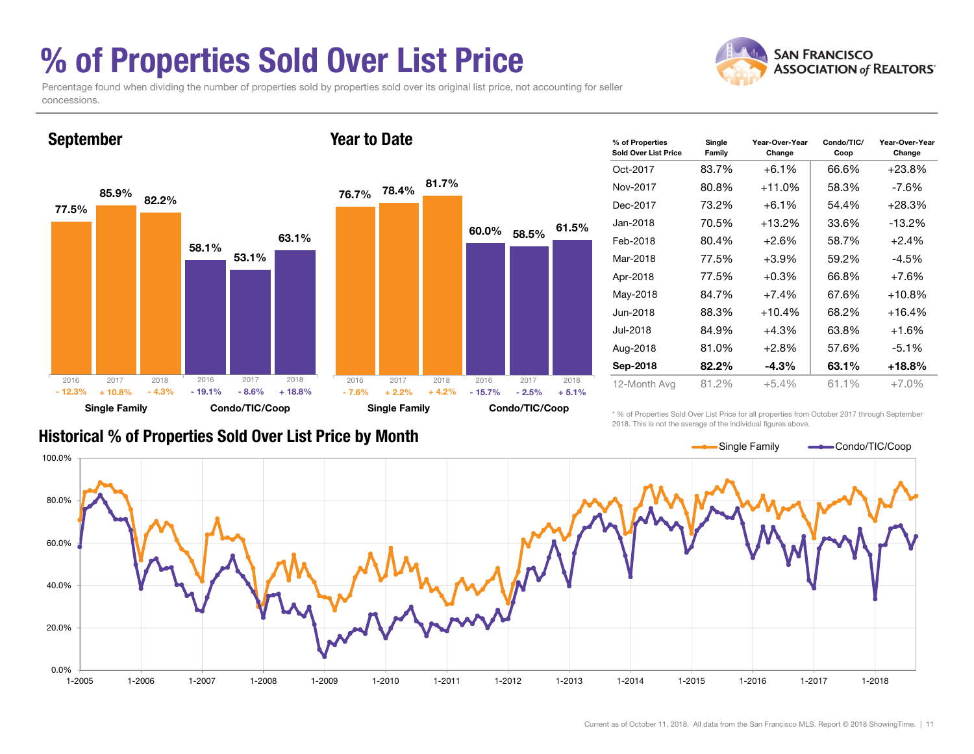### % of Properties Sold Over List Price

Percentage found when dividing the number of properties sold by properties sold over its original list price, not accounting for seller concessions.



| % of Properties<br>Sold Over List Price | Single<br>Family | Condo/TIC/<br>Year-Over-Year<br>Change<br>Coop |       |           |  |  |
|-----------------------------------------|------------------|------------------------------------------------|-------|-----------|--|--|
| Oct-2017                                | 83.7%            | $+6.1%$                                        | 66.6% | $+23.8%$  |  |  |
| Nov-2017                                | 80.8%            | $+11.0%$                                       | 58.3% | -7.6%     |  |  |
| Dec-2017                                | 73.2%            | $+6.1\%$                                       | 54.4% | $+28.3%$  |  |  |
| Jan-2018                                | 70.5%            | $+13.2\%$                                      | 33.6% | $-13.2\%$ |  |  |
| Feb-2018                                | 80.4%            | $+2.6\%$                                       | 58.7% | $+2.4%$   |  |  |
| Mar-2018                                | 77.5%            | $+3.9%$                                        | 59.2% | -4.5%     |  |  |
| Apr-2018                                | 77.5%            | $+0.3%$                                        | 66.8% | $+7.6%$   |  |  |
| May-2018                                | 84.7%            | $+7.4%$                                        | 67.6% | $+10.8%$  |  |  |
| Jun-2018                                | 88.3%            | $+10.4%$                                       | 68.2% | $+16.4%$  |  |  |
| Jul-2018                                | 84.9%            | $+4.3%$                                        | 63.8% | +1.6%     |  |  |
| Aug-2018                                | 81.0%            | $+2.8\%$                                       | 57.6% | $-5.1%$   |  |  |
| Sep-2018                                | 82.2%            | $-4.3%$                                        | 63.1% | +18.8%    |  |  |
| 12-Month Avg                            | 81.2%            | $+5.4\%$                                       | 61.1% | $+7.0\%$  |  |  |

#### Historical % of Properties Sold Over List Price by Month

\* % of Properties Sold Over List Price for all properties from October 2017 through September 2018. This is not the average of the individual figures above.



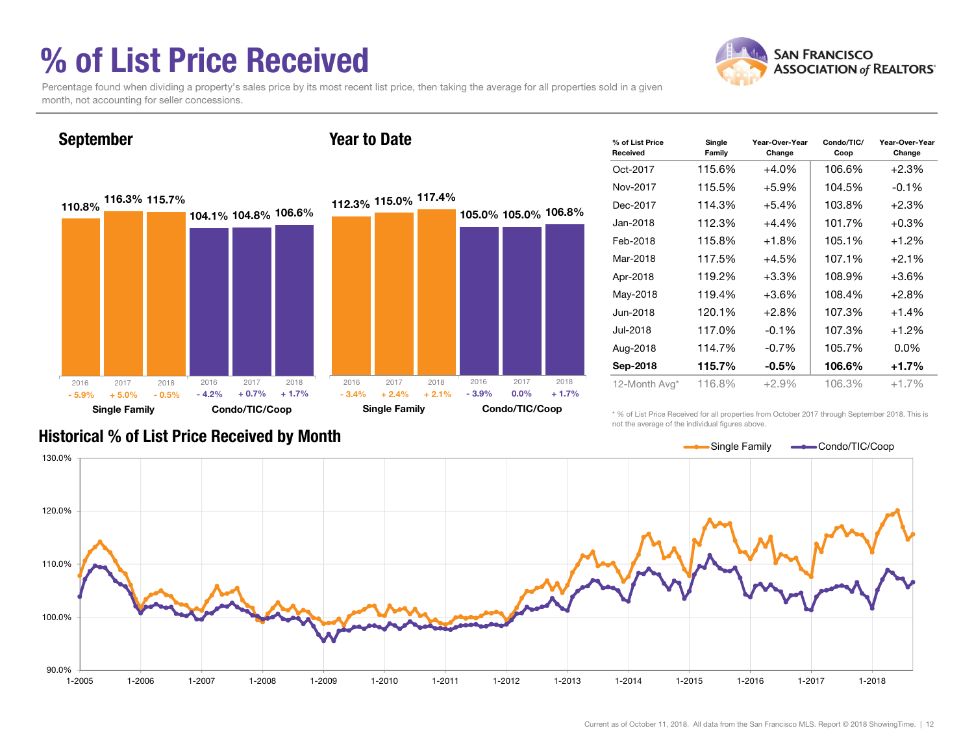### % of List Price Received

September



Percentage found when dividing a property's sales price by its most recent list price, then taking the average for all properties sold in a given month, not accounting for seller concessions.

Year to Date



| % of List Price<br>Received | Single<br>Family | Year-Over-Year<br>Change | Condo/TIC/<br>Coop | Year-Over-Year<br>Change |         |
|-----------------------------|------------------|--------------------------|--------------------|--------------------------|---------|
| Oct-2017                    | 115.6%           | 106.6%                   | $+2.3%$            |                          |         |
| Nov-2017                    | 115.5%           | $+5.9%$                  | 104.5%             | $-0.1%$                  |         |
| Dec-2017                    | 114.3%           | $+5.4%$                  | 103.8%             | $+2.3%$                  |         |
| Jan-2018                    | 112.3%           | 101.7%                   | $+0.3%$            |                          |         |
| Feb-2018                    | 115.8%           | $+1.8\%$                 | 105.1%             | $+1.2%$                  |         |
| Mar-2018                    | 117.5%           | $+4.5%$                  | 107.1%             | $+2.1%$                  |         |
| Apr-2018                    | 119.2%<br>119.4% |                          | $+3.3%$            | 108.9%                   | $+3.6%$ |
| May-2018                    |                  | $+3.6%$                  | 108.4%             | $+2.8%$                  |         |
| Jun-2018                    | 120.1%           | $+2.8%$                  | 107.3%             | $+1.4%$                  |         |
| Jul-2018                    | 117.0%           | $-0.1%$                  | 107.3%             | $+1.2%$                  |         |
| Aug-2018                    | 114.7%           | $-0.7%$                  | 105.7%             | $0.0\%$                  |         |
| Sep-2018                    | 115.7%           | $-0.5\%$                 | 106.6%             | $+1.7%$                  |         |
| 12-Month Avg*               | 116.8%           | $+2.9%$                  | 106.3%             | $+1.7%$                  |         |

\* % of List Price Received for all properties from October 2017 through September 2018. This is not the average of the individual figures above.



### Historical % of List Price Received by Month

Current as of October 11, 2018. All data from the San Francisco MLS. Report © 2018 ShowingTime. | 12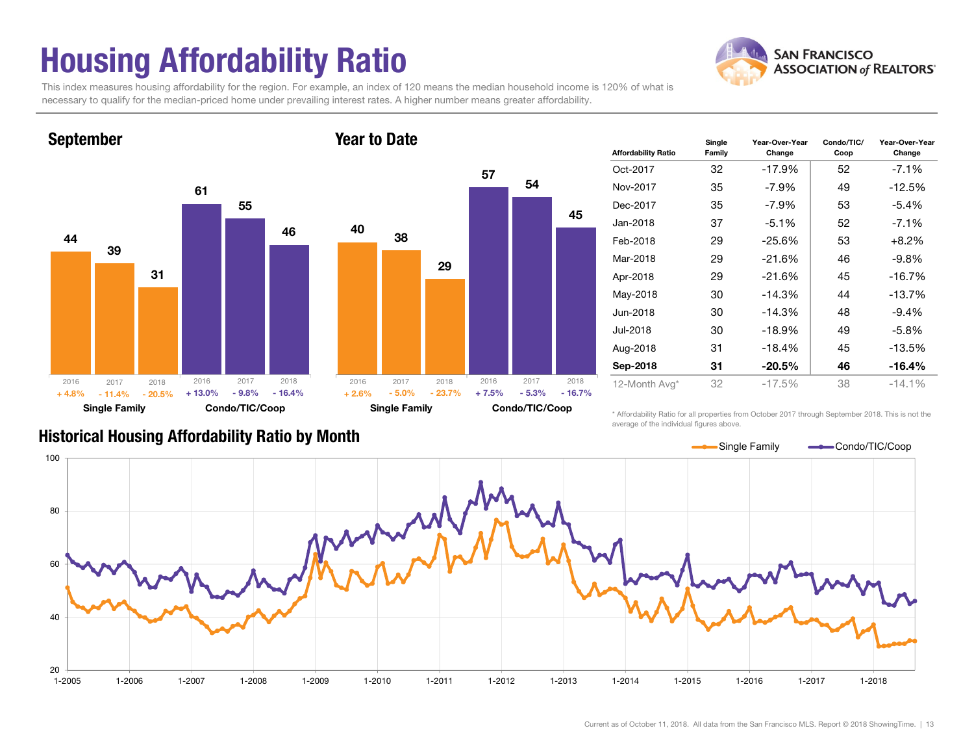# Housing Affordability Ratio

**SAN FRANCISCO ASSOCIATION of REALTORS'** 

This index measures housing affordability for the region. For example, an index of 120 means the median household income is 120% of what is necessary to qualify for the median-priced home under prevailing interest rates. A higher number means greater affordability.



| <b>Affordability Ratio</b> | Single<br>Family | Year-Over-Year<br>Change | Condo/TIC/<br>Coop | Year-Over-Year<br>Change |  |  |
|----------------------------|------------------|--------------------------|--------------------|--------------------------|--|--|
| Oct-2017                   | 32               | $-17.9%$                 | 52                 | $-7.1%$                  |  |  |
| Nov-2017                   | 35               | -7.9%                    | 49                 | $-12.5%$                 |  |  |
| Dec-2017                   | 35               | -7.9%                    | 53                 | $-5.4\%$                 |  |  |
| Jan-2018                   | 37               | $-5.1%$                  | 52                 | $-7.1%$                  |  |  |
| Feb-2018                   | 29               | $-25.6%$                 | 53                 | $+8.2\%$                 |  |  |
| Mar-2018                   | 29               | $-21.6%$                 | 46                 | -9.8%                    |  |  |
| Apr-2018                   | 29               | $-21.6%$                 | 45                 | $-16.7%$                 |  |  |
| May-2018                   | 30               | $-14.3%$                 | 44                 | $-13.7%$                 |  |  |
| Jun-2018                   | 30               | $-14.3%$                 | 48                 | $-9.4\%$                 |  |  |
| Jul-2018                   | 30               | $-18.9%$                 | 49                 | -5.8%                    |  |  |
| Aug-2018                   | 31               | $-18.4%$                 | 45                 | $-13.5%$                 |  |  |
| Sep-2018                   | 31               | $-20.5\%$                | 46                 | $-16.4%$                 |  |  |
| 12-Month Avg*              | 32               | $-17.5%$                 | 38                 | $-14.1%$                 |  |  |

#### Historical Housing Affordability Ratio by Month

\* Affordability Ratio for all properties from October 2017 through September 2018. This is not the average of the individual figures above.



54

45

2017 2018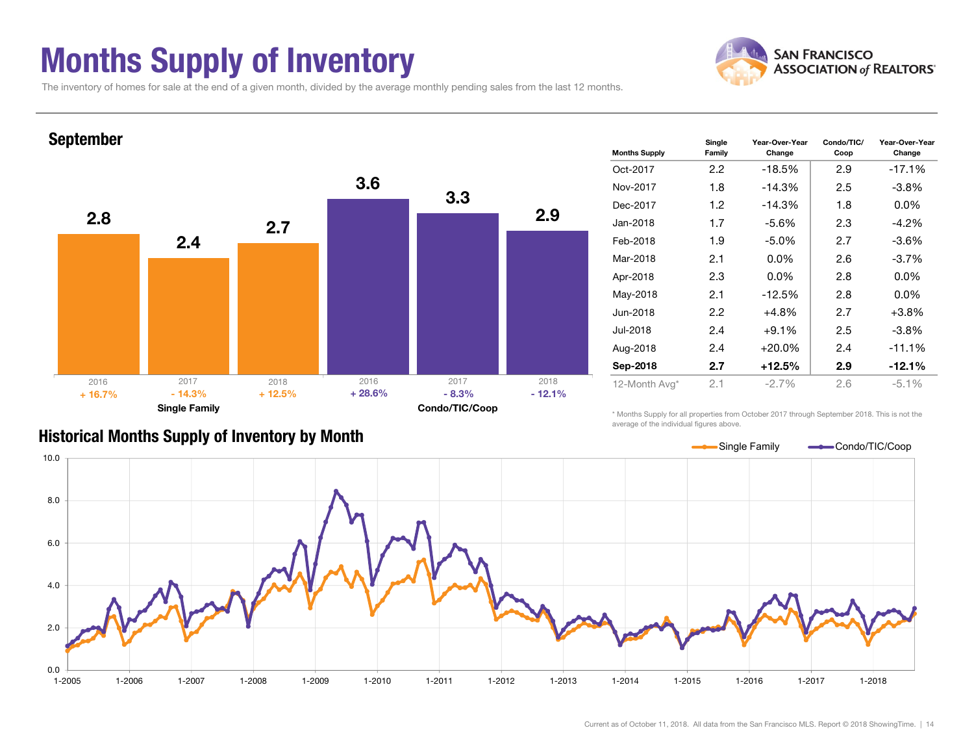### Months Supply of Inventory



The inventory of homes for sale at the end of a given month, divided by the average monthly pending sales from the last 12 months.



#### Historical Months Supply of Inventory by Month

\* Months Supply for all properties from October 2017 through September 2018. This is not the average of the individual figures above.

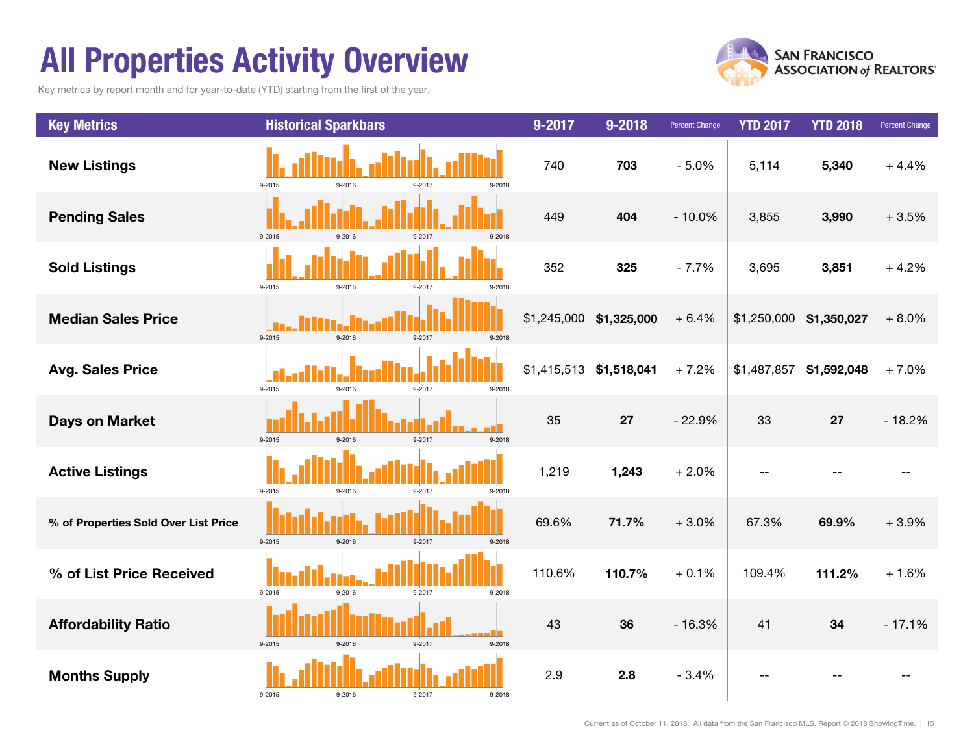### All Properties Activity Overview

Key metrics by report month and for year-to-date (YTD) starting from the first of the year.